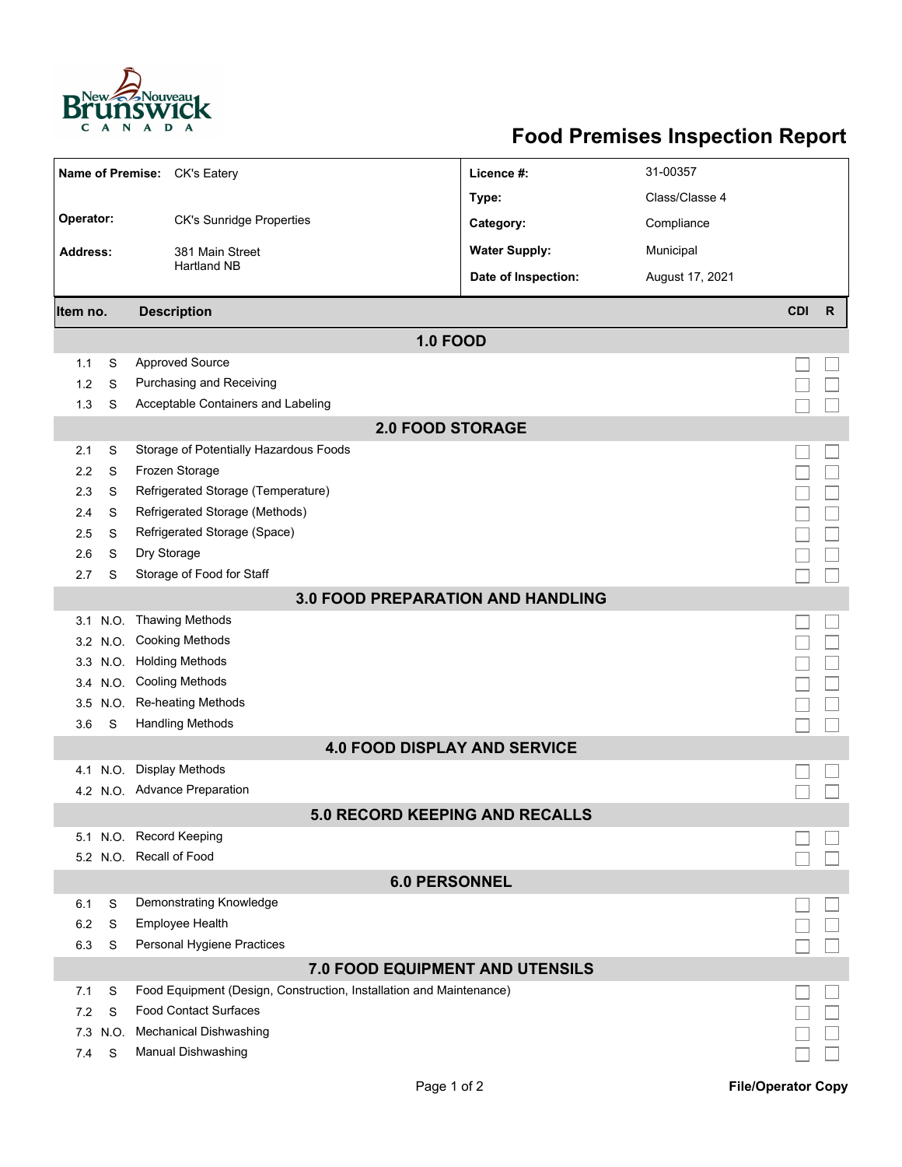

## **Food Premises Inspection Report**

| <b>Name of Premise:</b><br><b>CK's Eatery</b> |          |                                                                     | Licence #:           | 31-00357        |            |              |  |  |  |
|-----------------------------------------------|----------|---------------------------------------------------------------------|----------------------|-----------------|------------|--------------|--|--|--|
|                                               |          |                                                                     | Type:                | Class/Classe 4  |            |              |  |  |  |
| Operator:                                     |          | <b>CK's Sunridge Properties</b>                                     | Category:            | Compliance      |            |              |  |  |  |
| <b>Address:</b>                               |          | 381 Main Street                                                     | <b>Water Supply:</b> | Municipal       |            |              |  |  |  |
|                                               |          | <b>Hartland NB</b>                                                  | Date of Inspection:  | August 17, 2021 |            |              |  |  |  |
|                                               |          |                                                                     |                      |                 |            |              |  |  |  |
| Item no.                                      |          | <b>Description</b>                                                  |                      |                 | <b>CDI</b> | $\mathsf{R}$ |  |  |  |
|                                               |          | <b>1.0 FOOD</b>                                                     |                      |                 |            |              |  |  |  |
| 1.1                                           | S        | <b>Approved Source</b>                                              |                      |                 |            |              |  |  |  |
| 1.2                                           | S        | Purchasing and Receiving                                            |                      |                 |            |              |  |  |  |
| 1.3                                           | S        | Acceptable Containers and Labeling                                  |                      |                 |            |              |  |  |  |
| <b>2.0 FOOD STORAGE</b>                       |          |                                                                     |                      |                 |            |              |  |  |  |
| 2.1                                           | S        | Storage of Potentially Hazardous Foods                              |                      |                 |            |              |  |  |  |
| 2.2                                           | S        | Frozen Storage                                                      |                      |                 |            |              |  |  |  |
| 2.3                                           | S        | Refrigerated Storage (Temperature)                                  |                      |                 |            |              |  |  |  |
| 2.4                                           | S        | Refrigerated Storage (Methods)                                      |                      |                 |            |              |  |  |  |
| 2.5                                           | S        | Refrigerated Storage (Space)                                        |                      |                 |            |              |  |  |  |
| 2.6                                           | S        | Dry Storage                                                         |                      |                 |            |              |  |  |  |
| 2.7                                           | S        | Storage of Food for Staff                                           |                      |                 |            |              |  |  |  |
| <b>3.0 FOOD PREPARATION AND HANDLING</b>      |          |                                                                     |                      |                 |            |              |  |  |  |
| 3.1                                           | N.O.     | <b>Thawing Methods</b>                                              |                      |                 |            |              |  |  |  |
|                                               |          | 3.2 N.O. Cooking Methods                                            |                      |                 |            |              |  |  |  |
|                                               |          | 3.3 N.O. Holding Methods                                            |                      |                 |            |              |  |  |  |
|                                               | 3.4 N.O. | <b>Cooling Methods</b>                                              |                      |                 |            |              |  |  |  |
|                                               | 3.5 N.O. | Re-heating Methods                                                  |                      |                 |            |              |  |  |  |
| 3.6                                           | S        | <b>Handling Methods</b>                                             |                      |                 |            |              |  |  |  |
| <b>4.0 FOOD DISPLAY AND SERVICE</b>           |          |                                                                     |                      |                 |            |              |  |  |  |
| 4.1                                           | N.O.     | Display Methods                                                     |                      |                 |            |              |  |  |  |
|                                               |          | 4.2 N.O. Advance Preparation                                        |                      |                 |            |              |  |  |  |
| 5.0 RECORD KEEPING AND RECALLS                |          |                                                                     |                      |                 |            |              |  |  |  |
|                                               |          | 5.1 N.O. Record Keeping                                             |                      |                 |            |              |  |  |  |
|                                               |          | 5.2 N.O. Recall of Food                                             |                      |                 |            |              |  |  |  |
| <b>6.0 PERSONNEL</b>                          |          |                                                                     |                      |                 |            |              |  |  |  |
| 6.1                                           | S        | Demonstrating Knowledge                                             |                      |                 |            |              |  |  |  |
| 6.2                                           | S        | Employee Health                                                     |                      |                 |            |              |  |  |  |
| 6.3                                           | S        | Personal Hygiene Practices                                          |                      |                 |            |              |  |  |  |
| 7.0 FOOD EQUIPMENT AND UTENSILS               |          |                                                                     |                      |                 |            |              |  |  |  |
| 7.1                                           | S        | Food Equipment (Design, Construction, Installation and Maintenance) |                      |                 |            |              |  |  |  |
| 7.2                                           | S        | <b>Food Contact Surfaces</b>                                        |                      |                 |            |              |  |  |  |
|                                               | 7.3 N.O. | <b>Mechanical Dishwashing</b>                                       |                      |                 |            |              |  |  |  |
| 7.4                                           | S        | <b>Manual Dishwashing</b>                                           |                      |                 |            |              |  |  |  |